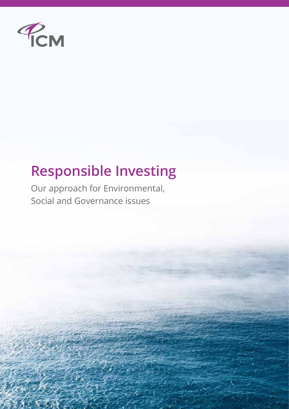

# **Responsible Investing**

Our approach for Environmental, Social and Governance issues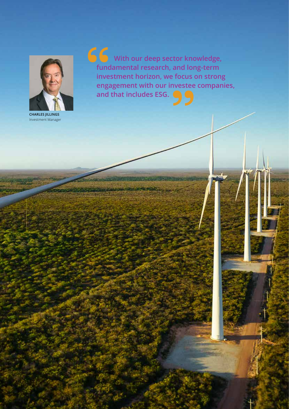

**CHARLES JILLINGS** Investment Manager

**With our deep sector knowledge, fundamental research, and long-term investment horizon, we focus on strong engagement with our investee companies, and that includes ESG. 66**<br>
func<br>
inve<br>
enga

1 2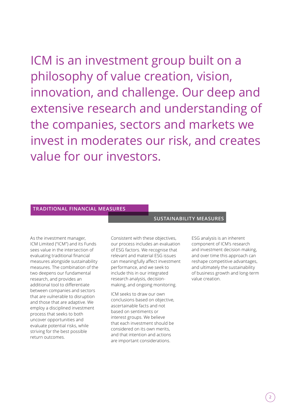ICM is an investment group built on a philosophy of value creation, vision, innovation, and challenge. Our deep and extensive research and understanding of the companies, sectors and markets we invest in moderates our risk, and creates value for our investors.

#### **TRADITIONAL FINANCIAL MEASURES**

As the investment manager, ICM Limited ("ICM") and its Funds sees value in the intersection of evaluating traditional financial measures alongside sustainability measures. The combination of the two deepens our fundamental research, and provides an additional tool to differentiate between companies and sectors that are vulnerable to disruption and those that are adaptive. We employ a disciplined investment process that seeks to both uncover opportunities and evaluate potential risks, while striving for the best possible return outcomes.

Consistent with these objectives, our process includes an evaluation of ESG factors. We recognise that relevant and material ESG issues can meaningfully affect investment performance, and we seek to include this in our integrated research analysis, decisionmaking, and ongoing monitoring.

ICM seeks to draw our own conclusions based on objective, ascertainable facts and not based on sentiments or interest groups. We believe that each investment should be considered on its own merits, and that intention and actions are important considerations.

#### **SUSTAINABILITY MEASURES**

ESG analysis is an inherent component of ICM's research and investment decision making, and over time this approach can reshape competitive advantages, and ultimately the sustainability of business growth and long-term value creation.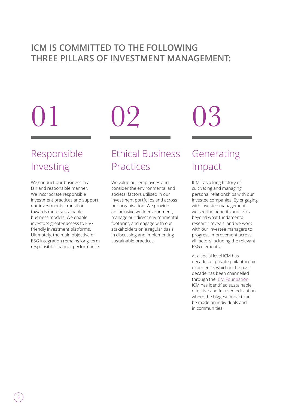## **ICM IS COMMITTED TO THE FOLLOWING THREE PILLARS OF INVESTMENT MANAGEMENT:**

# 01 02 03

# Responsible Investing

We conduct our business in a fair and responsible manner. We incorporate responsible investment practices and support our investments' transition towards more sustainable business models. We enable investors greater access to ESG friendly investment platforms. Ultimately, the main objective of ESG integration remains long-term responsible financial performance.

# Ethical Business Practices

We value our employees and consider the environmental and societal factors utilised in our investment portfolios and across our organisation. We provide an inclusive work environment, manage our direct environmental footprint, and engage with our stakeholders on a regular basis in discussing and implementing sustainable practices.

# Generating Impact

ICM has a long history of cultivating and managing personal relationships with our investee companies. By engaging with investee management, we see the benefits and risks beyond what fundamental research reveals, and we work with our investee managers to progress improvement across all factors including the relevant ESG elements.

At a social level ICM has decades of private philanthropic experience, which in the past decade has been channelled through the **ICM Foundation**. ICM has identified sustainable, effective and focused education where the biggest impact can be made on individuals and in communities.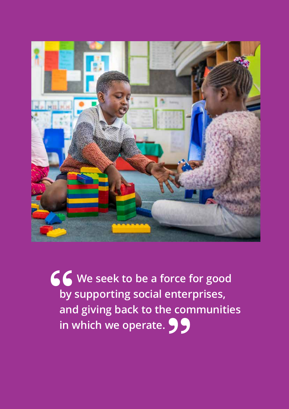

**We seek to be a force for good by supporting social enterprises, and giving back to the communities in which we operate.**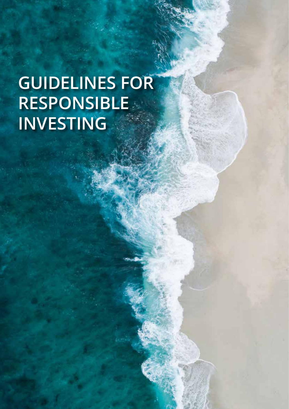# **GUIDELINES FOR RESPONSIBLE INVESTING**

se se estado de anos de anos de anos de anos de anos de anos de anos de anos de anos de anos de anos de anos d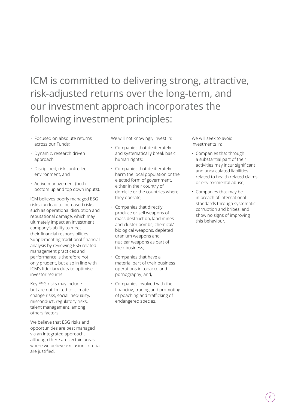# ICM is committed to delivering strong, attractive, risk-adjusted returns over the long-term, and our investment approach incorporates the following investment principles:

- Focused on absolute returns across our Funds;
- Dynamic, research driven approach;
- Disciplined, risk controlled environment, and
- Active management (both bottom up and top down inputs).

ICM believes poorly managed ESG risks can lead to increased risks such as operational disruption and reputational damage, which may ultimately impact an investment company's ability to meet their financial responsibilities. Supplementing traditional financial analysis by reviewing ESG related management practices and performance is therefore not only prudent, but also in line with ICM's fiduciary duty to optimise investor returns.

Key ESG risks may include but are not limited to: climate change risks, social inequality, misconduct, regulatory risks, talent management, among others factors.

We believe that ESG risks and opportunities are best managed via an integrated approach, although there are certain areas where we believe exclusion criteria are justified.

We will not knowingly invest in:

- Companies that deliberately and systematically break basic human rights;
- Companies that deliberately harm the local population or the elected form of government, either in their country of domicile or the countries where they operate;
- Companies that directly produce or sell weapons of mass destruction, land mines and cluster bombs, chemical/ biological weapons, depleted uranium weapons and nuclear weapons as part of their business;
- Companies that have a material part of their business operations in tobacco and pornography; and,
- Companies involved with the financing, trading and promoting of poaching and trafficking of endangered species.

We will seek to avoid investments in:

- Companies that through a substantial part of their activities may incur significant and uncalculated liabilities related to health related claims or environmental abuse;
- Companies that may be in breach of international standards through systematic corruption and bribes, and show no signs of improving this behaviour.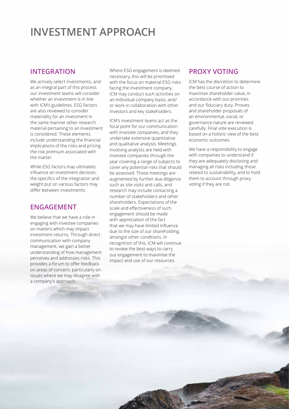# **INVESTMENT APPROACH**

### **INTEGRATION**

We actively select investments, and as an integral part of this process our investment teams will consider whether an investment is in line with ICM's guidelines. ESG factors are also reviewed to consider materiality for an investment in the same manner other research material pertaining to an investment is considered. These elements include understanding the financial implications of the risks and pricing the risk premium associated with the matter.

While ESG factors may ultimately influence an investment decision, the specifics of the integration and weight put on various factors may differ between investments.

#### **ENGAGEMENT**

We believe that we have a role in engaging with investee companies on matters which may impact investment returns. Through direct communication with company management, we gain a better understanding of how management perceives and addresses risks. This provides a forum to offer feedback on areas of concern, particularly on issues where we may disagree with a company's approach.

Where ESG engagement is deemed necessary, this will be prioritised with the focus on material ESG risks facing the investment company. ICM may conduct such activities on an individual company basis, and/ or work in collaboration with other investors and key stakeholders.

ICM's investment teams act as the focal point for our communication with investee companies, and they undertake extensive quantitative and qualitative analysis. Meetings involving analysts are held with investee companies through the year covering a range of subjects to cover any potential risks that should be assessed. These meetings are augmented by further due diligence such as site visits and calls, and research may include contacting a number of stakeholders and other shareholders. Expectations of the scale and effectiveness of such engagement should be made with appreciation of the fact that we may have limited influence due to the size of our shareholding, amongst other conditions. In recognition of this, ICM will continue to review the best ways to carry out engagement to maximise the impact and use of our resources.

#### **PROXY VOTING**

ICM has the discretion to determine the best course of action to maximise shareholder value, in accordance with our priorities and our fiduciary duty. Proxies and shareholder proposals of an environmental, social, or governance nature are reviewed carefully. Final vote execution is based on a holistic view of the best economic outcomes.

We have a responsibility to engage with companies to understand if they are adequately disclosing and managing all risks including those related to sustainability, and to hold them to account through proxy voting if they are not.

7 8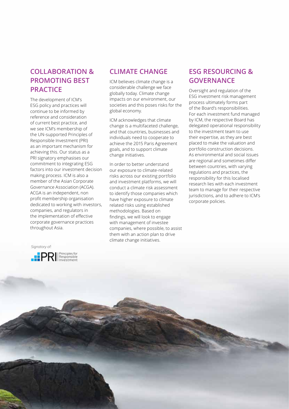### **COLLABORATION & PROMOTING BEST PRACTICE**

The development of ICM's ESG policy and practices will continue to be informed by reference and consideration of current best practice, and we see ICM's membership of the UN-supported Principles of Responsible Investment (PRI) as an important mechanism for achieving this. Our status as a PRI signatory emphasises our commitment to integrating ESG factors into our investment decision making process. ICM is also a member of the Asian Corporate Governance Association (ACGA). ACGA is an independent, non profit membership organisation dedicated to working with investors, companies, and regulators in the implementation of effective corporate governance practices throughout Asia.

# Signatory of:

7 8



#### **CLIMATE CHANGE**

ICM believes climate change is a considerable challenge we face globally today. Climate change impacts on our environment, our societies and this poses risks for the global economy.

ICM acknowledges that climate change is a multifaceted challenge, and that countries, businesses and individuals need to cooperate to achieve the 2015 Paris Agreement goals, and to support climate change initiatives.

In order to better understand our exposure to climate-related risks across our existing portfolio and investment platforms, we will conduct a climate risk assessment to identify those companies which have higher exposure to climate related risks using established methodologies. Based on findings, we will look to engage with management of investee companies, where possible, to assist them with an action plan to drive climate change initiatives.

### **ESG RESOURCING & GOVERNANCE**

Oversight and regulation of the ESG investment risk management process ultimately forms part of the Board's responsibilities. For each investment fund managed by ICM, the respective Board has delegated operational responsibility to the investment team to use their expertise, as they are best placed to make the valuation and portfolio construction decisions. As environmental and social issues are regional and sometimes differ between countries, with varying regulations and practices, the responsibility for this localised research lies with each investment team to manage for their respective jurisdictions, and to adhere to ICM's corporate policies.